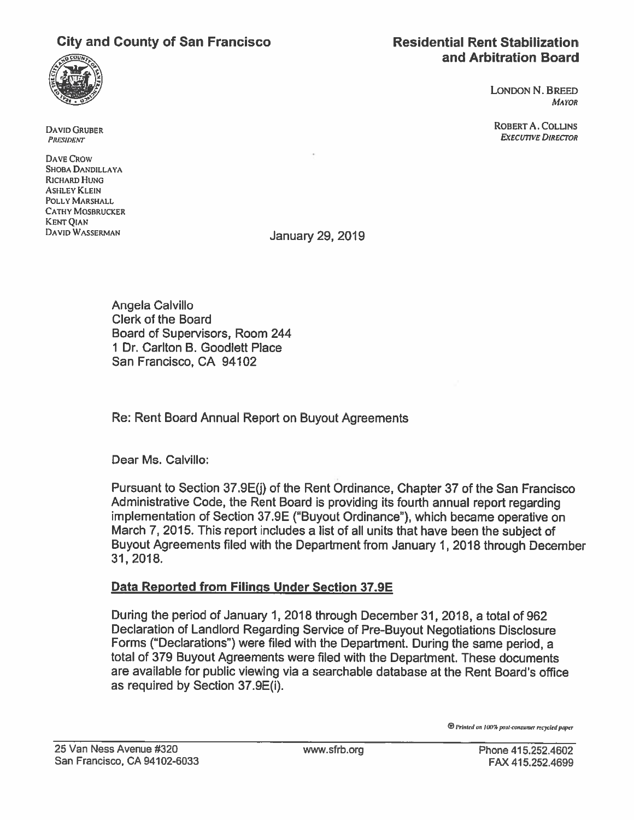# City and County of San Francisco **Residential Rent Stabilization**



LONDON N. BREED MAYOR

DAVID GRUBER ROBERT A. COLLINS **EXECUTIVE DIRECTOR** 

**PRESIDENT** 

DAVE CROW SHOBA DANDILLAYA RICHARD HUNG **ASHLEY KLEIN** POLLY MARSHALL CATHY MOSBRUCKER KENT QIAN

DAVID WASSERMAN JANUARY 29, 2019

Angela Calvillo Clerk of the Board Board of Supervisors, Room 244 1 Dr. Carlton B. Goodlett Place San Francisco, CA 94102

Re: Rent Board Annual Report on Buyout Agreements

Dear Ms. Calvillo:

Pursuant to Section 37.9E(j) of the Rent Ordinance, Chapter 37 of the San Francisco Administrative Code, the Rent Board is providing its fourth annual report regarding implementation of Section 37.9E ("Buyout Ordinance"), which became operative on March 7, 2015. This report includes <sup>a</sup> list of all units that have been the subject of Buyout Agreements filed with the Department from January 1, 2018 through December 31, 2018.

## Data Reported from Filings Under Section 37.9E

During the period of January 1, 2018 through December31, 2018, <sup>a</sup> total of 962 Declaration of Landlord Regarding Service of Pre-Buyout Negotiations Disclosure Forms ("Declarations") were filed with the Department. During the same period, <sup>a</sup> total of 379 Buyout Agreements were filed with the Department. These documents are available for public viewing via <sup>a</sup> searchable database at the Rent Board's office as required by Section 37.9E(i).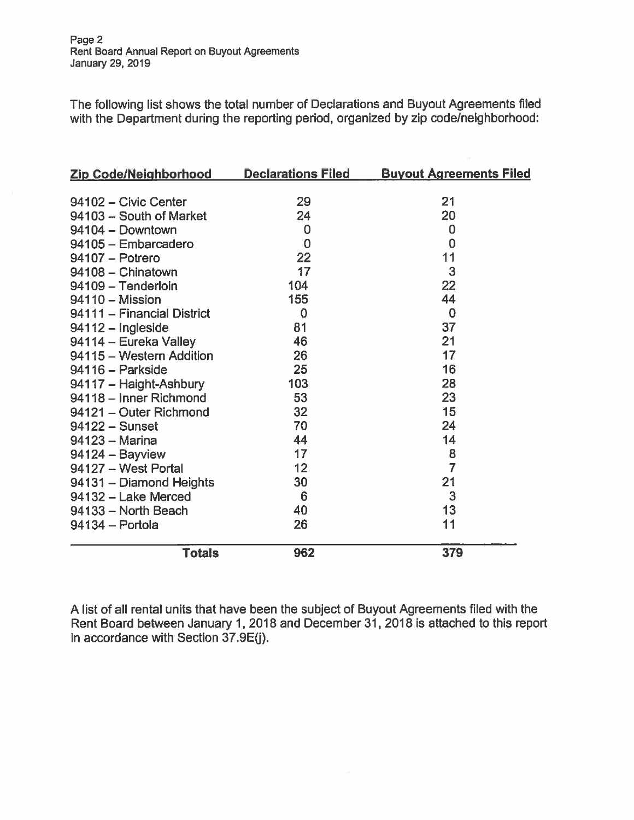The following list shows the total number of Declarations and Buyout Agreements filed with the Department during the reporting period, organized by zip code/neighborhood:

| <b>Zip Code/Neighborhood</b> | <b>Declarations Filed</b> | <b>Buyout Agreements Filed</b> |
|------------------------------|---------------------------|--------------------------------|
|                              |                           |                                |
| 94102 - Civic Center         | 29                        | 21                             |
| 94103 - South of Market      | 24                        | 20                             |
| 94104 - Downtown             | 0                         | $\bf{0}$                       |
| 94105 - Embarcadero          | $\mathbf 0$               | $\mathbf 0$                    |
| 94107 - Potrero              | 22                        | 11                             |
| 94108 - Chinatown            | 17                        | 3                              |
| 94109 - Tenderloin           | 104                       | 22                             |
| 94110 - Mission              | 155                       | 44                             |
| 94111 - Financial District   | $\mathbf 0$               | $\bf{0}$                       |
| $94112 - Ingleside$          | 81                        | 37                             |
| 94114 - Eureka Valley        | 46                        | 21                             |
| 94115 - Western Addition     | 26                        | 17                             |
| 94116 - Parkside             | 25                        | 16                             |
| 94117 - Haight-Ashbury       | 103                       | 28                             |
| 94118 - Inner Richmond       | 53                        | 23                             |
| 94121 - Outer Richmond       | 32                        | 15                             |
| $94122 -$ Sunset             | 70                        | 24                             |
| 94123 - Marina               | 44                        | 14                             |
| 94124 - Bayview              | 17                        | 8                              |
| 94127 - West Portal          | 12                        | $\overline{7}$                 |
| 94131 - Diamond Heights      | 30                        | 21                             |
| 94132 - Lake Merced          | 6                         | 3                              |
| 94133 - North Beach          | 40                        | 13                             |
| 94134 - Portola              | 26                        | 11                             |
| <b>Totals</b>                | 962                       | 379                            |

A list of all rental units that have been the subject of Buyout Agreements filed with the Rent Board between January 1, 2018 and December31, 2018 is attached to this repor<sup>t</sup> in accordance with Section 37.9E(j).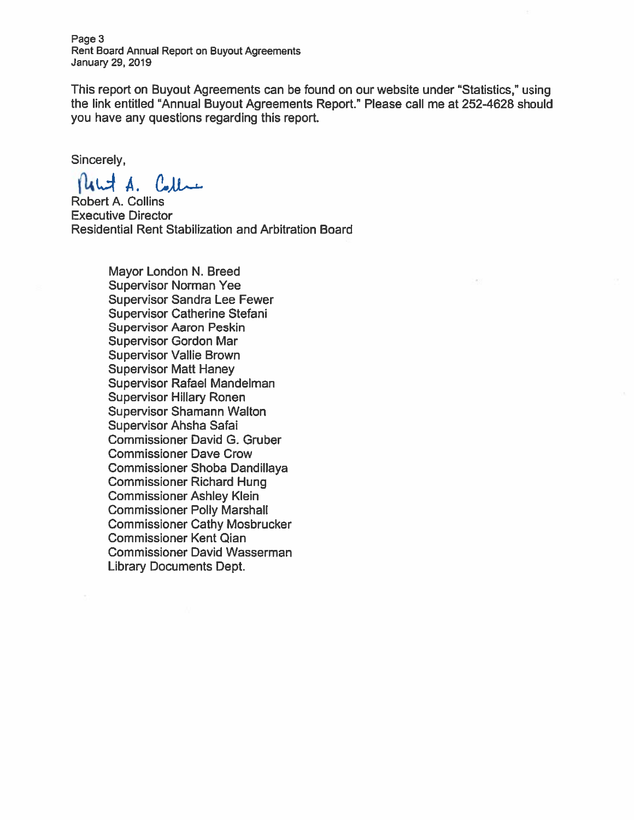Page 3 Rent Board Annual Report on Buyout Agreements January 29, 2019

This repor<sup>t</sup> on Buyout Agreements can be found on our website under "Statistics," using the link entitled "Annual Buyout Agreements Report." Please call me at 252-4628 should you have any questions regarding this report.

Sincerely,

 $flatA,$  Collect

Robert A. Collins Executive Director Residential Rent Stabilization and Arbitration Board

> Mayor London N. Breed Supervisor Norman Yee Supervisor Sandra Lee Fewer Supervisor Catherine Stefani Supervisor Aaron Peskin Supervisor Gordon Mar Supervisor Vallie Brown Supervisor Matt Haney Supervisor Rafael Mandelman Supervisor Hillary Ronen Supervisor Shamann Walton Supervisor Ahsha Safai Commissioner David G. Gruber Commissioner Dave Crow Commissioner Shoba Dandillaya Commissioner Richard Hung Commissioner Ashley Klein Commissioner Polly Marshall Commissioner Cathy Mosbrucker Commissioner Kent Qian Commissioner David Wasserman Library Documents Dept.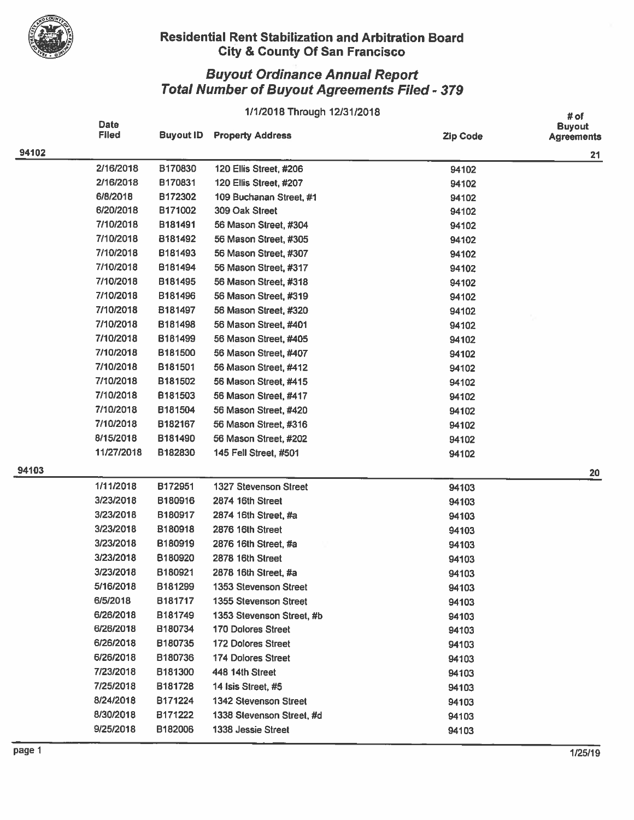

## Residential Rent Stabilization and Arbitration Board City & County Of San Francisco

## Buyout Ordinance Annual Report Total Number of Buyout Agreements Filed - 379

## 1/1/2018 Through 12/31/2018

|       | Date<br><b>Filed</b> | <b>Buyout ID</b> | <b>Property Address</b>      | <b>Zip Code</b> | # OT<br><b>Buyout</b><br><b>Agreements</b> |
|-------|----------------------|------------------|------------------------------|-----------------|--------------------------------------------|
| 94102 |                      |                  |                              |                 | 21                                         |
|       | 2/16/2018            | B170830          | 120 Ellis Street, #206       | 94102           |                                            |
|       | 2/16/2018            | B170831          | 120 Ellis Street, #207       | 94102           |                                            |
|       | 6/8/2018             | B172302          | 109 Buchanan Street, #1      | 94102           |                                            |
|       | 6/20/2018            | B171002          | 309 Oak Street               | 94102           |                                            |
|       | 7/10/2018            | B181491          | 56 Mason Street, #304        | 94102           |                                            |
|       | 7/10/2018            | B181492          | 56 Mason Street, #305        | 94102           |                                            |
|       | 7/10/2018            | B181493          | 56 Mason Street, #307        | 94102           |                                            |
|       | 7/10/2018            | B181494          | 56 Mason Street, #317        | 94102           |                                            |
|       | 7/10/2018            | B181495          | 56 Mason Street, #318        | 94102           |                                            |
|       | 7/10/2018            | B181496          | 56 Mason Street, #319        | 94102           |                                            |
|       | 7/10/2018            | B181497          | 56 Mason Street, #320        | 94102           |                                            |
|       | 7/10/2018            | B181498          | 56 Mason Street, #401        | 94102           |                                            |
|       | 7/10/2018            | B181499          | 56 Mason Street, #405        | 94102           |                                            |
|       | 7/10/2018            | B181500          | 56 Mason Street, #407        | 94102           |                                            |
|       | 7/10/2018            | B181501          | 56 Mason Street, #412        | 94102           |                                            |
|       | 7/10/2018            | B181502          | 56 Mason Street, #415        | 94102           |                                            |
|       | 7/10/2018            | B181503          | 56 Mason Street, #417        | 94102           |                                            |
|       | 7/10/2018            | B181504          | 56 Mason Street, #420        | 94102           |                                            |
|       | 7/10/2018            | B182167          | 56 Mason Street, #316        | 94102           |                                            |
|       | 8/15/2018            | B181490          | 56 Mason Street, #202        | 94102           |                                            |
|       | 11/27/2018           | B182830          | 145 Fell Street, #501        | 94102           |                                            |
| 94103 |                      |                  |                              |                 | 20                                         |
|       | 1/11/2018            | B172951          | 1327 Stevenson Street        | 94103           |                                            |
|       | 3/23/2018            | B180916          | 2874 16th Street             | 94103           |                                            |
|       | 3/23/2018            | B180917          | 2874 16th Street, #a         | 94103           |                                            |
|       | 3/23/2018            | B180918          | 2876 16th Street             | 94103           |                                            |
|       | 3/23/2018            | B180919          | 2876 16th Street, #a         | 94103           |                                            |
|       | 3/23/2018            | B180920          | 2878 16th Street             | 94103           |                                            |
|       | 3/23/2018            | B180921          | 2878 16th Street, #a         | 94103           |                                            |
|       | 5/16/2018            | B181299          | 1353 Stevenson Street        | 94103           |                                            |
|       | 6/5/2018             | B181717          | 1355 Stevenson Street        | 94103           |                                            |
|       | 6/26/2018            | B181749          | 1353 Stevenson Street, #b    | 94103           |                                            |
|       | 6/26/2018            | B180734          | <b>170 Dolores Street</b>    | 94103           |                                            |
|       | 6/26/2018            | B180735          | 172 Dolores Street           | 94103           |                                            |
|       | 6/26/2018            | B180736          | <b>174 Dolores Street</b>    | 94103           |                                            |
|       | 7/23/2018            | B181300          | 448 14th Street              | 94103           |                                            |
|       | 7/25/2018            | B181728          | 14 Isis Street, #5           | 94103           |                                            |
|       | 8/24/2018            | B171224          | <b>1342 Stevenson Street</b> | 94103           |                                            |
|       | 8/30/2018            | B171222          | 1338 Stevenson Street, #d    | 94103           |                                            |
|       | 9/25/2018            | B182006          | 1338 Jessie Street           | 94103           |                                            |
|       |                      |                  |                              |                 |                                            |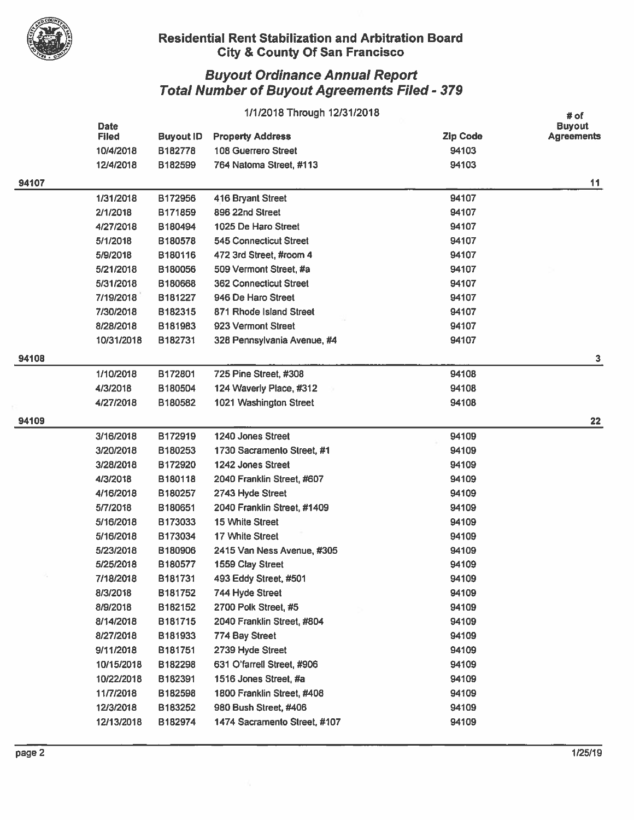

#### Residential Rent Stabilization and Arbitration Board  $\mathbb{V}$   $\qquad \qquad \mathbb{C}$ ity & County Of San Francisco

|       | 1/1/2018 Through 12/31/2018 |                  |                               | # of            |                                    |
|-------|-----------------------------|------------------|-------------------------------|-----------------|------------------------------------|
|       | <b>Date</b><br><b>Filed</b> | <b>Buyout ID</b> | <b>Property Address</b>       | <b>Zip Code</b> | <b>Buyout</b><br><b>Agreements</b> |
|       | 10/4/2018                   | B182778          | <b>108 Guerrero Street</b>    | 94103           |                                    |
|       | 12/4/2018                   | B182599          | 764 Natoma Street, #113       | 94103           |                                    |
| 94107 |                             |                  |                               |                 | 11                                 |
|       | 1/31/2018                   | B172956          | 416 Bryant Street             | 94107           |                                    |
|       | 2/1/2018                    | B171859          | 896 22nd Street               | 94107           |                                    |
|       | 4/27/2018                   | B180494          | 1025 De Haro Street           | 94107           |                                    |
|       | 5/1/2018                    | B180578          | <b>545 Connecticut Street</b> | 94107           |                                    |
|       | 5/9/2018                    | B180116          | 472 3rd Street, #room 4       | 94107           |                                    |
|       | 5/21/2018                   | B180056          | 509 Vermont Street, #a        | 94107           |                                    |
|       | 5/31/2018                   | B180668          | <b>362 Connecticut Street</b> | 94107           |                                    |
|       | 7/19/2018                   | B181227          | 946 De Haro Street            | 94107           |                                    |
|       | 7/30/2018                   | B182315          | 871 Rhode Island Street       | 94107           |                                    |
|       | 8/28/2018                   | B181983          | 923 Vermont Street            | 94107           |                                    |
|       | 10/31/2018                  | B182731          | 328 Pennsylvania Avenue, #4   | 94107           |                                    |
| 94108 |                             |                  |                               |                 | 3                                  |
|       | 1/10/2018                   | B172801          | 725 Pine Street, #308         | 94108           |                                    |
|       | 4/3/2018                    | B180504          | 124 Waverly Place, #312       | 94108           |                                    |
|       | 4/27/2018                   | B180582          | 1021 Washington Street        | 94108           |                                    |
| 94109 |                             |                  |                               |                 | 22                                 |
|       | 3/16/2018                   | B172919          | 1240 Jones Street             | 94109           |                                    |
|       | 3/20/2018                   | B180253          | 1730 Sacramento Street, #1    | 94109           |                                    |
|       | 3/28/2018                   | B172920          | 1242 Jones Street             | 94109           |                                    |
|       | 4/3/2018                    | B180118          | 2040 Franklin Street, #607    | 94109           |                                    |
|       | 4/16/2018                   | B180257          | 2743 Hyde Street              | 94109           |                                    |
|       | 5/7/2018                    | B180651          | 2040 Franklin Street, #1409   | 94109           |                                    |
|       | 5/16/2018                   | B173033          | 15 White Street               | 94109           |                                    |
|       | 5/16/2018                   | B173034          | 17 White Street               | 94109           |                                    |
|       | 5/23/2018                   | B180906          | 2415 Van Ness Avenue, #305    | 94109           |                                    |
|       | 5/25/2018                   | B180577          | 1559 Clay Street              | 94109           |                                    |
|       | 7/18/2018                   | B181731          | 493 Eddy Street, #501         | 94109           |                                    |
|       | 8/3/2018                    | B181752          | 744 Hyde Street               | 94109           |                                    |
|       | 8/9/2018                    | B182152          | 2700 Polk Street, #5          | 94109           |                                    |
|       | 8/14/2018                   | B181715          | 2040 Franklin Street, #804    | 94109           |                                    |
|       | 8/27/2018                   | B181933          | 774 Bay Street                | 94109           |                                    |
|       | 9/11/2018                   | B181751          | 2739 Hyde Street              | 94109           |                                    |
|       | 10/15/2018                  | B182298          | 631 O'farrell Street, #906    | 94109           |                                    |
|       | 10/22/2018                  | B182391          | 1516 Jones Street, #a         | 94109           |                                    |
|       | 11/7/2018                   | B182598          | 1800 Franklin Street, #408    | 94109           |                                    |
|       | 12/3/2018                   | B183252          | 980 Bush Street, #406         | 94109           |                                    |
|       | 12/13/2018                  | B182974          | 1474 Sacramento Street, #107  | 94109           |                                    |
|       |                             |                  |                               |                 |                                    |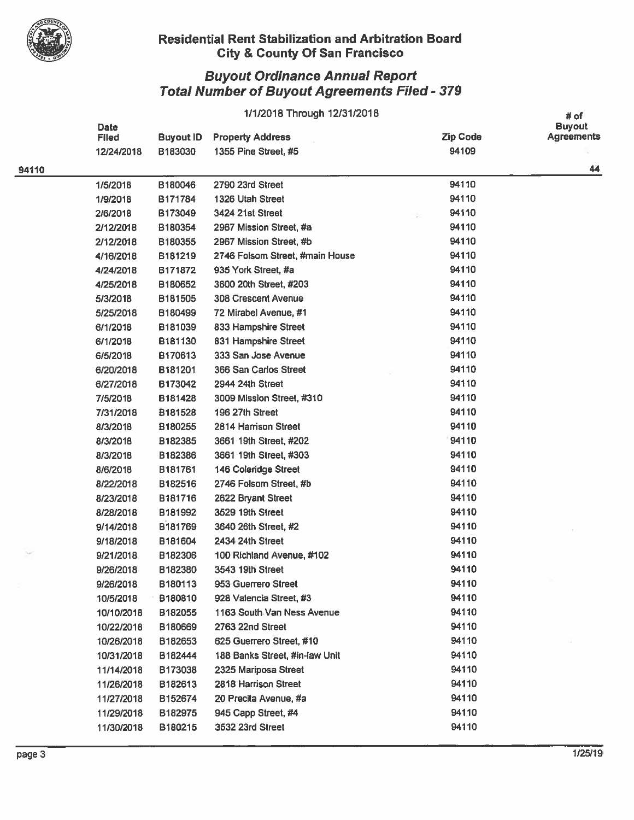

### Residential Rent Stabilization and Arbitration Board City & County Of San Francisco

|       | 1/1/2018 Through 12/31/2018 |                  |                                 |                 | # of                               |
|-------|-----------------------------|------------------|---------------------------------|-----------------|------------------------------------|
|       | Date<br><b>Filed</b>        | <b>Buyout ID</b> | <b>Property Address</b>         | <b>Zip Code</b> | <b>Buyout</b><br><b>Agreements</b> |
|       | 12/24/2018                  | B183030          | 1355 Pine Street, #5            | 94109           |                                    |
| 94110 |                             |                  |                                 |                 | 44                                 |
|       | 1/5/2018                    | B180046          | 2790 23rd Street                | 94110           |                                    |
|       | 1/9/2018                    | B171784          | 1326 Utah Street                | 94110           |                                    |
|       | 2/6/2018                    | B173049          | 3424 21st Street                | 94110           |                                    |
|       | 2/12/2018                   | B180354          | 2967 Mission Street, #a         | 94110           |                                    |
|       | 2/12/2018                   | B180355          | 2967 Mission Street, #b         | 94110           |                                    |
|       | 4/16/2018                   | B181219          | 2746 Folsom Street, #main House | 94110           |                                    |
|       | 4/24/2018                   | B171872          | 935 York Street, #a             | 94110           |                                    |
|       | 4/25/2018                   | B180652          | 3600 20th Street, #203          | 94110           |                                    |
|       | 5/3/2018                    | B181505          | <b>308 Crescent Avenue</b>      | 94110           |                                    |
|       | 5/25/2018                   | B180499          | 72 Mirabel Avenue, #1           | 94110           |                                    |
|       | 6/1/2018                    | B181039          | 833 Hampshire Street            | 94110           |                                    |
|       | 6/1/2018                    | B181130          | 831 Hampshire Street            | 94110           |                                    |
|       | 6/5/2018                    | B170613          | 333 San Jose Avenue             | 94110           |                                    |
|       | 6/20/2018                   | B181201          | 366 San Carlos Street           | 94110           |                                    |
|       | 6/27/2018                   | B173042          | 2944 24th Street                | 94110           |                                    |
|       | 7/5/2018                    | B181428          | 3009 Mission Street, #310       | 94110           |                                    |
|       | 7/31/2018                   | B181528          | 196 27th Street                 | 94110           |                                    |
|       | 8/3/2018                    | B180255          | 2814 Harrison Street            | 94110           |                                    |
|       | 8/3/2018                    | B182385          | 3661 19th Street, #202          | 94110           |                                    |
|       | 8/3/2018                    | B182386          | 3661 19th Street, #303          | 94110           |                                    |
|       | 8/6/2018                    | B181761          | 146 Coleridge Street            | 94110           |                                    |
|       | 8/22/2018                   | B182516          | 2746 Folsom Street, #b          | 94110           |                                    |
|       | 8/23/2018                   | B181716          | 2622 Bryant Street              | 94110           |                                    |
|       | 8/28/2018                   | B181992          | 3529 19th Street                | 94110           |                                    |
|       | 9/14/2018                   | B181769          | 3640 26th Street, #2            | 94110           |                                    |
|       | 9/18/2018                   | B181604          | 2434 24th Street                | 94110           |                                    |
|       | 9/21/2018                   | B182306          | 100 Richland Avenue, #102       | 94110           |                                    |
|       | 9/26/2018                   | B182380          | 3543 19th Street                | 94110           |                                    |
|       | 9/26/2018                   | B180113          | 953 Guerrero Street             | 94110           |                                    |
|       | 10/5/2018                   | B180810          | 928 Valencia Street, #3         | 94110           |                                    |
|       | 10/10/2018                  | B182055          | 1163 South Van Ness Avenue      | 94110           |                                    |
|       | 10/22/2018                  | B180669          | 2763 22nd Street                | 94110           |                                    |
|       | 10/26/2018                  | B182653          | 625 Guerrero Street, #10        | 94110           |                                    |
|       | 10/31/2018                  | B182444          | 188 Banks Street, #in-law Unit  | 94110           |                                    |
|       | 11/14/2018                  | B173038          | 2325 Mariposa Street            | 94110           |                                    |
|       | 11/26/2018                  | B182613          | 2818 Harrison Street            | 94110           |                                    |
|       | 11/27/2018                  | B152674          | 20 Precita Avenue, #a           | 94110           |                                    |
|       | 11/29/2018                  | B182975          | 945 Capp Street, #4             | 94110           |                                    |
|       | 11/30/2018                  | B180215          | 3532 23rd Street                | 94110           |                                    |
|       |                             |                  |                                 |                 |                                    |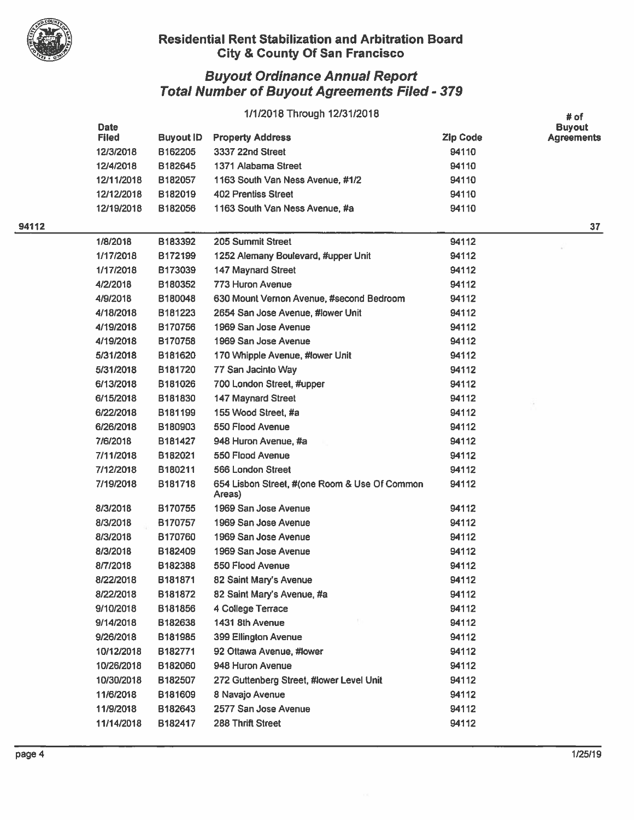

### Residential Rent Stabilization and Arbitration Board City & County Of San Francisco

|       | 1/1/2018 Through 12/31/2018 |                  |                                                         | # of            |                                    |
|-------|-----------------------------|------------------|---------------------------------------------------------|-----------------|------------------------------------|
|       | <b>Date</b><br><b>Filed</b> | <b>Buyout ID</b> | <b>Property Address</b>                                 | <b>Zip Code</b> | <b>Buyout</b><br><b>Agreements</b> |
|       | 12/3/2018                   | B162205          | 3337 22nd Street                                        | 94110           |                                    |
|       | 12/4/2018                   | B182645          | 1371 Alabama Street                                     | 94110           |                                    |
|       | 12/11/2018                  | B182057          | 1163 South Van Ness Avenue, #1/2                        | 94110           |                                    |
|       | 12/12/2018                  | B182019          | 402 Prentiss Street                                     | 94110           |                                    |
|       | 12/19/2018                  | B182056          | 1163 South Van Ness Avenue, #a                          | 94110           |                                    |
| 94112 |                             |                  |                                                         |                 | 37                                 |
|       | 1/8/2018                    | B183392          | 205 Summit Street                                       | 94112           |                                    |
|       | 1/17/2018                   | B172199          | 1252 Alemany Boulevard, #upper Unit                     | 94112           |                                    |
|       | 1/17/2018                   | B173039          | 147 Maynard Street                                      | 94112           |                                    |
|       | 4/2/2018                    | B180352          | 773 Huron Avenue                                        | 94112           |                                    |
|       | 4/9/2018                    | B180048          | 630 Mount Vernon Avenue, #second Bedroom                | 94112           |                                    |
|       | 4/18/2018                   | B181223          | 2654 San Jose Avenue, #lower Unit                       | 94112           |                                    |
|       | 4/19/2018                   | B170756          | 1969 San Jose Avenue                                    | 94112           |                                    |
|       | 4/19/2018                   | B170758          | 1969 San Jose Avenue                                    | 94112           |                                    |
|       | 5/31/2018                   | B181620          | 170 Whipple Avenue, #lower Unit                         | 94112           |                                    |
|       | 5/31/2018                   | B181720          | 77 San Jacinto Way                                      | 94112           |                                    |
|       | 6/13/2018                   | B181026          | 700 London Street, #upper                               | 94112           |                                    |
|       | 6/15/2018                   | B181830          | <b>147 Maynard Street</b>                               | 94112           |                                    |
|       | 6/22/2018                   | B181199          | 155 Wood Street, #a                                     | 94112           |                                    |
|       | 6/26/2018                   | B180903          | 550 Flood Avenue                                        | 94112           |                                    |
|       | 7/6/2018                    | B181427          | 948 Huron Avenue, #a                                    | 94112           |                                    |
|       | 7/11/2018                   | B182021          | 550 Flood Avenue                                        | 94112           |                                    |
|       | 7/12/2018                   | B180211          | 566 London Street                                       | 94112           |                                    |
|       | 7/19/2018                   | B181718          | 654 Lisbon Street, #(one Room & Use Of Common<br>Areas) | 94112           |                                    |
|       | 8/3/2018                    | B170755          | 1969 San Jose Avenue                                    | 94112           |                                    |
|       | 8/3/2018                    | B170757          | 1969 San Jose Avenue                                    | 94112           |                                    |
|       | 8/3/2018                    | B170760          | 1969 San Jose Avenue                                    | 94112           |                                    |
|       | 8/3/2018                    | B182409          | 1969 San Jose Avenue                                    | 94112           |                                    |
|       | 8/7/2018                    | B182388          | 550 Flood Avenue                                        | 94112           |                                    |
|       | 8/22/2018                   | B181871          | 82 Saint Mary's Avenue                                  | 94112           |                                    |
|       | 8/22/2018                   | B181872          | 82 Saint Mary's Avenue, #a                              | 94112           |                                    |
|       | 9/10/2018                   | B181856          | 4 College Terrace                                       | 94112           |                                    |
|       | 9/14/2018                   | B182638          | 1431 8th Avenue                                         | 94112           |                                    |
|       | 9/26/2018                   | B181985          | 399 Ellington Avenue                                    | 94112           |                                    |
|       | 10/12/2018                  | B182771          | 92 Ottawa Avenue, #lower                                | 94112           |                                    |
|       | 10/26/2018                  | B182060          | 948 Huron Avenue                                        | 94112           |                                    |
|       | 10/30/2018                  | B182507          | 272 Guttenberg Street, #lower Level Unit                | 94112           |                                    |
|       | 11/6/2018                   | B181609          | 8 Navajo Avenue                                         | 94112           |                                    |
|       | 11/9/2018                   | B182643          | 2577 San Jose Avenue                                    | 94112           |                                    |
|       | 11/14/2018                  | B182417          | 288 Thrift Street                                       | 94112           |                                    |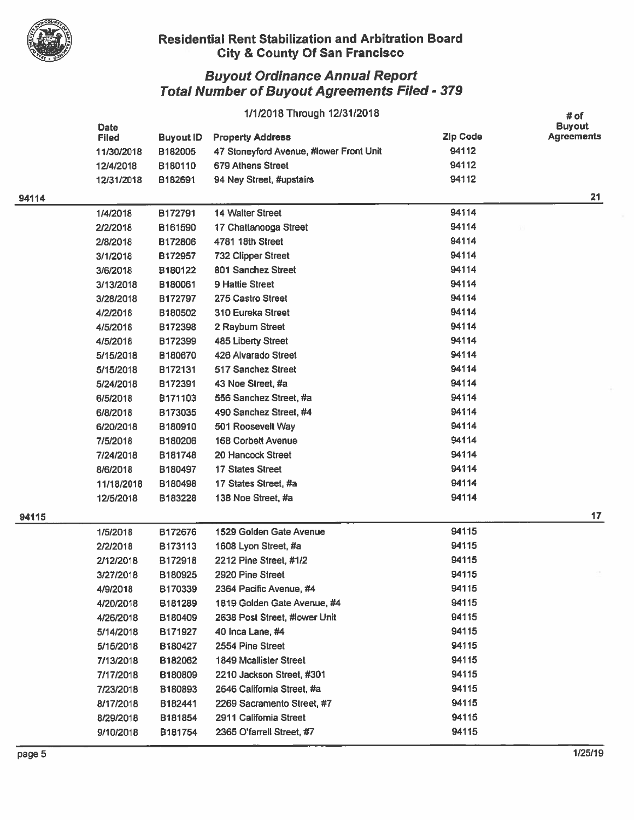

#### Residential Rent Stabilization and Arbitration Board ity & County Of San Francisco

|       | 1/1/2018 Through 12/31/2018 |                  |                                         |          |                                            |
|-------|-----------------------------|------------------|-----------------------------------------|----------|--------------------------------------------|
|       | Date<br><b>Filed</b>        | <b>Buyout ID</b> | <b>Property Address</b>                 | Zip Code | # of<br><b>Buyout</b><br><b>Agreements</b> |
|       | 11/30/2018                  | B182005          | 47 Stoneyford Avenue, #lower Front Unit | 94112    |                                            |
|       | 12/4/2018                   | B180110          | 679 Athens Street                       | 94112    |                                            |
|       | 12/31/2018                  | B182691          | 94 Ney Street, #upstairs                | 94112    |                                            |
| 94114 |                             |                  |                                         |          | 21                                         |
|       | 1/4/2018                    | B172791          | 14 Walter Street                        | 94114    |                                            |
|       | 2/2/2018                    | B161590          | 17 Chattanooga Street                   | 94114    |                                            |
|       | 2/8/2018                    | B172806          | 4781 18th Street                        | 94114    |                                            |
|       | 3/1/2018                    | B172957          | <b>732 Clipper Street</b>               | 94114    |                                            |
|       | 3/6/2018                    | B180122          | 801 Sanchez Street                      | 94114    |                                            |
|       | 3/13/2018                   | B180061          | <b>9 Hattie Street</b>                  | 94114    |                                            |
|       | 3/28/2018                   | B172797          | 275 Castro Street                       | 94114    |                                            |
|       | 4/2/2018                    | B180502          | 310 Eureka Street                       | 94114    |                                            |
|       | 4/5/2018                    | B172398          | 2 Rayburn Street                        | 94114    |                                            |
|       | 4/5/2018                    | B172399          | 485 Liberty Street                      | 94114    |                                            |
|       | 5/15/2018                   | B180670          | 426 Alvarado Street                     | 94114    |                                            |
|       | 5/15/2018                   | B172131          | 517 Sanchez Street                      | 94114    |                                            |
|       | 5/24/2018                   | B172391          | 43 Noe Street, #a                       | 94114    |                                            |
|       | 6/5/2018                    | B171103          | 556 Sanchez Street, #a                  | 94114    |                                            |
|       | 6/8/2018                    | B173035          | 490 Sanchez Street, #4                  | 94114    |                                            |
|       | 6/20/2018                   | B180910          | 501 Roosevelt Way                       | 94114    |                                            |
|       | 7/5/2018                    | B180206          | <b>168 Corbett Avenue</b>               | 94114    |                                            |
|       | 7/24/2018                   | B181748          | 20 Hancock Street                       | 94114    |                                            |
|       | 8/6/2018                    | B180497          | <b>17 States Street</b>                 | 94114    |                                            |
|       | 11/18/2018                  | B180498          | 17 States Street, #a                    | 94114    |                                            |
|       | 12/5/2018                   | B183228          | 138 Noe Street, #a                      | 94114    |                                            |
| 94115 |                             |                  |                                         |          | 17 <sub>1</sub>                            |
|       | 1/5/2018                    | B172676          | 1529 Golden Gate Avenue                 | 94115    |                                            |
|       | 2/2/2018                    | B173113          | 1608 Lyon Street, #a                    | 94115    |                                            |
|       | 2/12/2018                   | B172918          | 2212 Pine Street, #1/2                  | 94115    |                                            |
|       | 3/27/2018                   | B180925          | 2920 Pine Street                        | 94115    |                                            |
|       | 4/9/2018                    | B170339          | 2364 Pacific Avenue, #4                 | 94115    |                                            |
|       | 4/20/2018                   | B181289          | 1819 Golden Gate Avenue, #4             | 94115    |                                            |
|       | 4/26/2018                   | B180409          | 2638 Post Street, #lower Unit           | 94115    |                                            |
|       | 5/14/2018                   | B171927          | 40 Inca Lane, #4                        | 94115    |                                            |
|       | 5/15/2018                   | B180427          | 2554 Pine Street                        | 94115    |                                            |
|       | 7/13/2018                   | B182062          | <b>1849 Mcallister Street</b>           | 94115    |                                            |
|       | 7/17/2018                   | B180809          | 2210 Jackson Street, #301               | 94115    |                                            |
|       | 7/23/2018                   | B180893          | 2646 California Street, #a              | 94115    |                                            |
|       | 8/17/2018                   | B182441          | 2269 Sacramento Street, #7              | 94115    |                                            |
|       | 8/29/2018                   | B181854          | 2911 California Street                  | 94115    |                                            |
|       | 9/10/2018                   | B181754          | 2365 O'farrell Street, #7               | 94115    |                                            |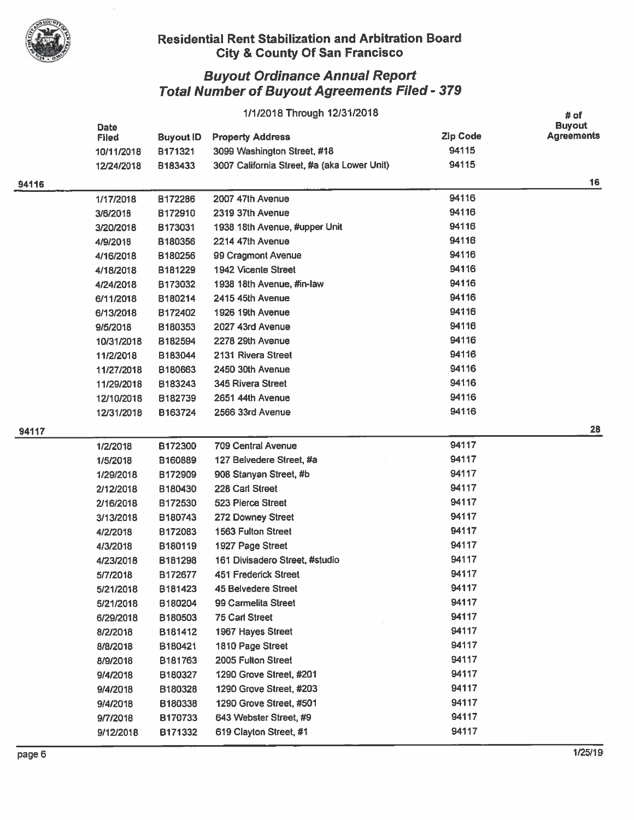

## Residential Rent Stabilization and Arbitration Board ity & County Of San Francisco

|       | 1/1/2018 Through 12/31/2018 |                  |                                             |                 | # of              |
|-------|-----------------------------|------------------|---------------------------------------------|-----------------|-------------------|
|       | <b>Date</b>                 |                  |                                             |                 | <b>Buyout</b>     |
|       | <b>Filed</b>                | <b>Buyout ID</b> | <b>Property Address</b>                     | <b>Zip Code</b> | <b>Agreements</b> |
|       | 10/11/2018                  | B171321          | 3099 Washington Street, #18                 | 94115           |                   |
|       | 12/24/2018                  | B183433          | 3007 California Street, #a (aka Lower Unit) | 94115           |                   |
| 94116 |                             |                  |                                             |                 | 16                |
|       | 1/17/2018                   | B172286          | 2007 47th Avenue                            | 94116           |                   |
|       | 3/6/2018                    | B172910          | 2319 37th Avenue                            | 94116           |                   |
|       | 3/20/2018                   | B173031          | 1938 18th Avenue, #upper Unit               | 94116           |                   |
|       | 4/9/2018                    | B180356          | 2214 47th Avenue                            | 94116           |                   |
|       | 4/16/2018                   | B180256          | 99 Cragmont Avenue                          | 94116           |                   |
|       | 4/18/2018                   | B181229          | <b>1942 Vicente Street</b>                  | 94116           |                   |
|       | 4/24/2018                   | B173032          | 1938 18th Avenue, #in-law                   | 94116           |                   |
|       | 6/11/2018                   | B180214          | 2415 45th Avenue                            | 94116           |                   |
|       | 6/13/2018                   | B172402          | 1926 19th Avenue                            | 94116           |                   |
|       | 9/5/2018                    | B180353          | 2027 43rd Avenue                            | 94116           |                   |
|       | 10/31/2018                  | B182594          | 2278 29th Avenue                            | 94116           |                   |
|       | 11/2/2018                   | B183044          | 2131 Rivera Street                          | 94116           |                   |
|       | 11/27/2018                  | B180663          | 2450 30th Avenue                            | 94116           |                   |
|       | 11/29/2018                  | B183243          | 345 Rivera Street                           | 94116           |                   |
|       | 12/10/2018                  | B182739          | 2651 44th Avenue                            | 94116           |                   |
|       | 12/31/2018                  | B163724          | 2566 33rd Avenue                            | 94116           |                   |
| 94117 |                             |                  |                                             |                 | 28                |
|       | 1/2/2018                    | B172300          | <b>709 Central Avenue</b>                   | 94117           |                   |
|       | 1/5/2018                    | B160889          | 127 Belvedere Street, #a                    | 94117           |                   |
|       | 1/29/2018                   | B172909          | 908 Stanyan Street, #b                      | 94117           |                   |
|       | 2/12/2018                   | B180430          | 228 Carl Street                             | 94117           |                   |
|       | 2/16/2018                   | B172530          | 523 Pierce Street                           | 94117           |                   |
|       | 3/13/2018                   | B180743          | 272 Downey Street                           | 94117           |                   |
|       | 4/2/2018                    | B172083          | 1563 Fulton Street                          | 94117           |                   |
|       | 4/3/2018                    | B180119          | 1927 Page Street                            | 94117           |                   |
|       | 4/23/2018                   | B181298          | 161 Divisadero Street, #studio              | 94117           |                   |
|       | 5/7/2018                    | B172677          | <b>451 Frederick Street</b>                 | 94117           |                   |
|       | 5/21/2018                   | B181423          | 45 Belvedere Street                         | 94117           |                   |
|       | 5/21/2018                   | B180204          | 99 Carmelita Street                         | 94117           |                   |
|       | 6/29/2018                   | B180503          | <b>75 Carl Street</b>                       | 94117           |                   |
|       | 8/2/2018                    | B181412          | 1967 Hayes Street                           | 94117           |                   |
|       | 8/8/2018                    | B180421          | 1810 Page Street                            | 94117           |                   |
|       | 8/9/2018                    | B181763          | 2005 Fulton Street                          | 94117           |                   |
|       | 9/4/2018                    | B180327          | 1290 Grove Street, #201                     | 94117           |                   |
|       | 9/4/2018                    | B180328          | 1290 Grove Street, #203                     | 94117           |                   |
|       | 9/4/2018                    | B180338          | 1290 Grove Street, #501                     | 94117           |                   |
|       | 9/7/2018                    | B170733          | 643 Webster Street, #9                      | 94117           |                   |
|       | 9/12/2018                   | B171332          | 619 Clayton Street, #1                      | 94117           |                   |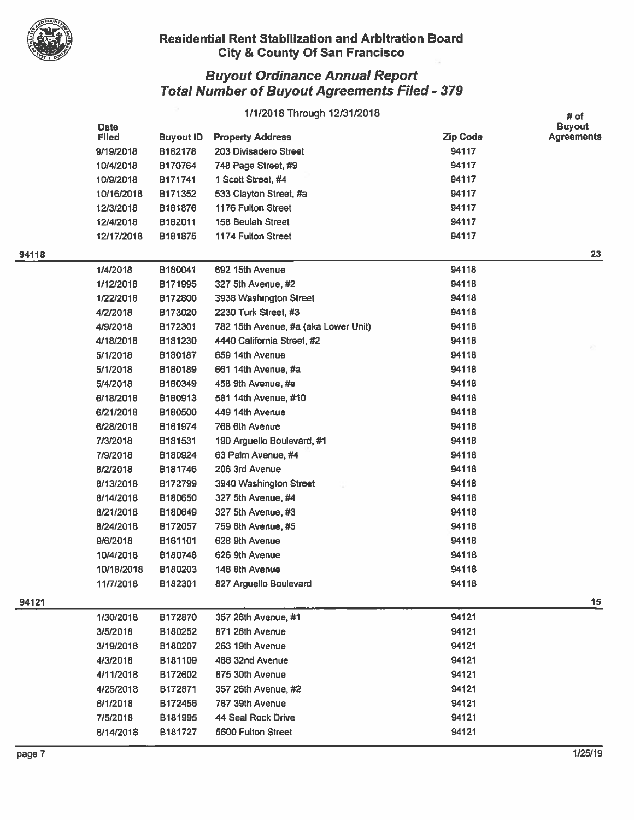

## Residential Rent Stabilization and Arbitration Board . City & County Of San Francisco

|       |              |                     | 1/1/2018 Through 12/31/2018          |                 | # of              |
|-------|--------------|---------------------|--------------------------------------|-----------------|-------------------|
|       | <b>Date</b>  |                     |                                      |                 | <b>Buyout</b>     |
|       | <b>Filed</b> | <b>Buyout ID</b>    | <b>Property Address</b>              | <b>Zip Code</b> | <b>Agreements</b> |
|       | 9/19/2018    | B182178             | 203 Divisadero Street                | 94117           |                   |
|       | 10/4/2018    | B170764             | 748 Page Street, #9                  | 94117           |                   |
|       | 10/9/2018    | B171741             | 1 Scott Street, #4                   | 94117           |                   |
|       | 10/16/2018   | B171352             | 533 Clayton Street, #a               | 94117           |                   |
|       | 12/3/2018    | B181876             | 1176 Fulton Street                   | 94117           |                   |
|       | 12/4/2018    | B182011             | 158 Beulah Street                    | 94117           |                   |
|       | 12/17/2018   | B181875             | 1174 Fulton Street                   | 94117           |                   |
| 94118 |              |                     |                                      |                 | 23                |
|       | 1/4/2018     | B180041             | 692 15th Avenue                      | 94118           |                   |
|       | 1/12/2018    | B171995             | 327 5th Avenue, #2                   | 94118           |                   |
|       | 1/22/2018    | B172800             | 3938 Washington Street               | 94118           |                   |
|       | 4/2/2018     | B173020             | 2230 Turk Street, #3                 | 94118           |                   |
|       | 4/9/2018     | B172301             | 782 15th Avenue, #a (aka Lower Unit) | 94118           |                   |
|       | 4/18/2018    | B181230             | 4440 California Street, #2           | 94118           |                   |
|       | 5/1/2018     | B180187             | 659 14th Avenue                      | 94118           |                   |
|       | 5/1/2018     | B180189             | 661 14th Avenue, #a                  | 94118           |                   |
|       | 5/4/2018     | B180349             | 458 9th Avenue, #e                   | 94118           |                   |
|       | 6/18/2018    | B180913             | 581 14th Avenue, #10                 | 94118           |                   |
|       | 6/21/2018    | B180500             | 449 14th Avenue                      | 94118           |                   |
|       | 6/28/2018    | B181974             | 768 6th Avenue                       | 94118           |                   |
|       | 7/3/2018     | B181531             | 190 Arguello Boulevard, #1           | 94118           |                   |
|       | 7/9/2018     | B180924             | 63 Palm Avenue, #4                   | 94118           |                   |
|       | 8/2/2018     | B181746             | 206 3rd Avenue                       | 94118           |                   |
|       | 8/13/2018    | B172799             | 3940 Washington Street               | 94118           |                   |
|       | 8/14/2018    | B180650             | 327 5th Avenue, #4                   | 94118           |                   |
|       | 8/21/2018    | B180649             | 327 5th Avenue, #3                   | 94118           |                   |
|       | 8/24/2018    | B172057             | 759 6th Avenue, #5                   | 94118           |                   |
|       | 9/6/2018     | B161101             | 628 9th Avenue                       | 94118           |                   |
|       | 10/4/2018    | B180748             | 626 9th Avenue                       | 94118           |                   |
|       | 10/18/2018   | B180203             | 148 8th Avenue                       | 94118           |                   |
|       | 11/7/2018    | B182301             | 827 Arguello Boulevard               | 94118           |                   |
| 94121 |              |                     |                                      |                 | 15                |
|       | 1/30/2018    | B172870             | 357 26th Avenue, #1                  | 94121           |                   |
|       | 3/5/2018     | B180252             | 871 26th Avenue                      | 94121           |                   |
|       | 3/19/2018    | B180207             | 263 19th Avenue                      | 94121           |                   |
|       | 4/3/2018     | B <sub>181109</sub> | 466 32nd Avenue                      | 94121           |                   |
|       | 4/11/2018    | B172602             | 875 30th Avenue                      | 94121           |                   |
|       | 4/25/2018    | B172871             | 357 26th Avenue, #2                  | 94121           |                   |
|       | 6/1/2018     | B172456             | 787 39th Avenue                      | 94121           |                   |
|       | 7/5/2018     | B181995             | 44 Seal Rock Drive                   | 94121           |                   |
|       | 8/14/2018    | B181727             | 5600 Fulton Street                   | 94121           |                   |
|       |              |                     |                                      |                 |                   |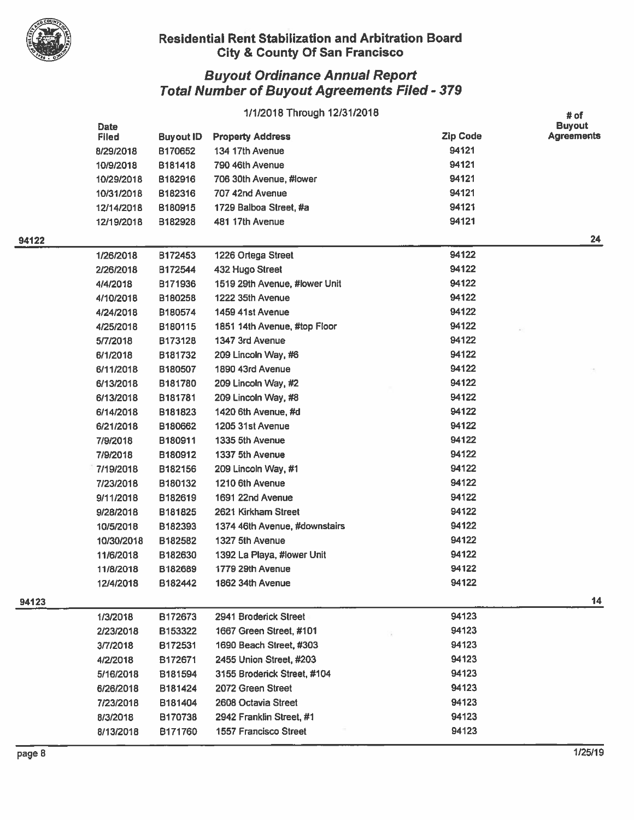

## Residential Rent Stabilization and Arbitration Board V City & County Of San Francisco

|       | 1/1/2018 Through 12/31/2018 |                  |                               |                 |                                            |
|-------|-----------------------------|------------------|-------------------------------|-----------------|--------------------------------------------|
|       | Date<br><b>Filed</b>        | <b>Buyout ID</b> | <b>Property Address</b>       | <b>Zip Code</b> | # of<br><b>Buyout</b><br><b>Agreements</b> |
|       | 8/29/2018                   | B170652          | 134 17th Avenue               | 94121           |                                            |
|       | 10/9/2018                   | B181418          | 790 46th Avenue               | 94121           |                                            |
|       | 10/29/2018                  | B182916          | 706 30th Avenue, #lower       | 94121           |                                            |
|       | 10/31/2018                  | B182316          | 707 42nd Avenue               | 94121           |                                            |
|       | 12/14/2018                  | B180915          | 1729 Balboa Street, #a        | 94121           |                                            |
|       | 12/19/2018                  | B182928          | 481 17th Avenue               | 94121           |                                            |
| 94122 |                             |                  |                               |                 | 24                                         |
|       | 1/26/2018                   | B172453          | 1226 Ortega Street            | 94122           |                                            |
|       | 2/26/2018                   | B172544          | 432 Hugo Street               | 94122           |                                            |
|       | 4/4/2018                    | B171936          | 1519 29th Avenue, #lower Unit | 94122           |                                            |
|       | 4/10/2018                   | B180258          | 1222 35th Avenue              | 94122           |                                            |
|       | 4/24/2018                   | B180574          | 1459 41st Avenue              | 94122           |                                            |
|       | 4/25/2018                   | B180115          | 1851 14th Avenue, #top Floor  | 94122           |                                            |
|       | 5/7/2018                    | B173128          | 1347 3rd Avenue               | 94122           |                                            |
|       | 6/1/2018                    | B181732          | 209 Lincoln Way, #6           | 94122           |                                            |
|       | 6/11/2018                   | B180507          | 1890 43rd Avenue              | 94122           |                                            |
|       | 6/13/2018                   | B181780          | 209 Lincoln Way, #2           | 94122           |                                            |
|       | 6/13/2018                   | B181781          | 209 Lincoln Way, #8           | 94122           |                                            |
|       | 6/14/2018                   | B181823          | 1420 6th Avenue, #d           | 94122           |                                            |
|       | 6/21/2018                   | B180662          | 1205 31st Avenue              | 94122           |                                            |
|       | 7/9/2018                    | B180911          | 1335 5th Avenue               | 94122           |                                            |
|       | 7/9/2018                    | B180912          | 1337 5th Avenue               | 94122           |                                            |
|       | 7/19/2018                   | B182156          | 209 Lincoln Way, #1           | 94122           |                                            |
|       | 7/23/2018                   | B180132          | 1210 6th Avenue               | 94122           |                                            |
|       | 9/11/2018                   | B182619          | 1691 22nd Avenue              | 94122           |                                            |
|       | 9/28/2018                   | B181825          | 2621 Kirkham Street           | 94122           |                                            |
|       | 10/5/2018                   | B182393          | 1374 46th Avenue, #downstairs | 94122           |                                            |
|       | 10/30/2018                  | B182582          | 1327 5th Avenue               | 94122           |                                            |
|       | 11/6/2018                   | B182630          | 1392 La Playa, #lower Unit    | 94122           |                                            |
|       | 11/8/2018                   | B182689          | 1779 29th Avenue              | 94122           |                                            |
|       | 12/4/2018                   | B182442          | 1862 34th Avenue              | 94122           |                                            |
| 94123 |                             |                  |                               |                 | 14                                         |
|       | 1/3/2018                    | B172673          | 2941 Broderick Street         | 94123           |                                            |
|       | 2/23/2018                   | B153322          | 1667 Green Street, #101       | 94123           |                                            |
|       | 3/7/2018                    | B172531          | 1690 Beach Street, #303       | 94123           |                                            |
|       | 4/2/2018                    | B172671          | 2455 Union Street, #203       | 94123           |                                            |
|       | 5/16/2018                   | B181594          | 3155 Broderick Street, #104   | 94123           |                                            |
|       | 6/26/2018                   | B181424          | 2072 Green Street             | 94123           |                                            |
|       | 7/23/2018                   | B181404          | 2608 Octavia Street           | 94123           |                                            |
|       | 8/3/2018                    | B170738          | 2942 Franklin Street, #1      | 94123           |                                            |
|       | 8/13/2018                   | B171760          | 1557 Francisco Street         | 94123           |                                            |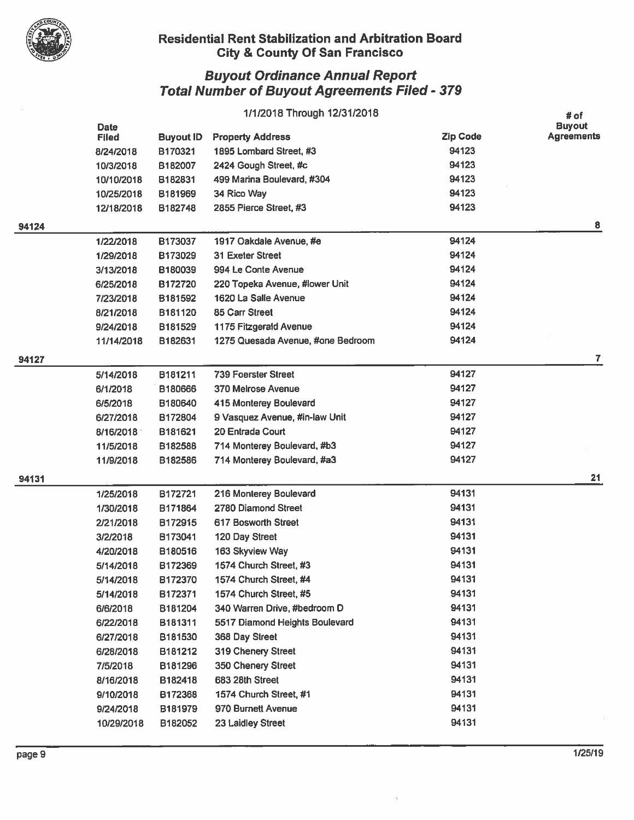

## Residential Rent Stabilization and Arbitration Board ity & County Of San Francisco

|       |                             |                  | 1/1/2018 Through 12/31/2018       |                 | $#$ of                             |
|-------|-----------------------------|------------------|-----------------------------------|-----------------|------------------------------------|
|       | <b>Date</b><br><b>Filed</b> | <b>Buyout ID</b> | <b>Property Address</b>           | <b>Zip Code</b> | <b>Buyout</b><br><b>Agreements</b> |
|       | 8/24/2018                   | B170321          | 1895 Lombard Street, #3           | 94123           |                                    |
|       | 10/3/2018                   | B182007          | 2424 Gough Street, #c             | 94123           |                                    |
|       | 10/10/2018                  | B182831          | 499 Marina Boulevard, #304        | 94123           |                                    |
|       | 10/25/2018                  | B181969          | 34 Rico Way                       | 94123           |                                    |
|       | 12/18/2018                  | B182748          | 2855 Pierce Street, #3            | 94123           |                                    |
| 94124 |                             |                  |                                   |                 | 8                                  |
|       | 1/22/2018                   | B173037          | 1917 Oakdale Avenue, #e           | 94124           |                                    |
|       | 1/29/2018                   | B173029          | 31 Exeter Street                  | 94124           |                                    |
|       | 3/13/2018                   | B180039          | 994 Le Conte Avenue               | 94124           |                                    |
|       | 6/25/2018                   | B172720          | 220 Topeka Avenue, #lower Unit    | 94124           |                                    |
|       | 7/23/2018                   | B181592          | 1620 La Salle Avenue              | 94124           |                                    |
|       | 8/21/2018                   | B181120          | 85 Carr Street                    | 94124           |                                    |
|       | 9/24/2018                   | B181529          | 1175 Fitzgerald Avenue            | 94124           |                                    |
|       | 11/14/2018                  | B182631          | 1275 Quesada Avenue, #one Bedroom | 94124           |                                    |
| 94127 |                             |                  |                                   |                 | 7                                  |
|       | 5/14/2018                   | B181211          | <b>739 Foerster Street</b>        | 94127           |                                    |
|       | 6/1/2018                    | B180666          | 370 Melrose Avenue                | 94127           |                                    |
|       | 6/5/2018                    | B180640          | 415 Monterey Boulevard            | 94127           |                                    |
|       | 6/27/2018                   | B172804          | 9 Vasquez Avenue, #in-law Unit    | 94127           |                                    |
|       | 8/16/2018                   | B181621          | 20 Entrada Court                  | 94127           |                                    |
|       | 11/5/2018                   | B182588          | 714 Monterey Boulevard, #b3       | 94127           |                                    |
|       | 11/9/2018                   | B182586          | 714 Monterey Boulevard, #a3       | 94127           |                                    |
| 94131 |                             |                  |                                   |                 | 21                                 |
|       | 1/25/2018                   | B172721          | 216 Monterey Boulevard            | 94131           |                                    |
|       | 1/30/2018                   | B171864          | 2780 Diamond Street               | 94131           |                                    |
|       | 2/21/2018                   | B172915          | 617 Bosworth Street               | 94131           |                                    |
|       | 3/2/2018                    | B173041          | 120 Day Street                    | 94131           |                                    |
|       | 4/20/2018                   | B180516          | 163 Skyview Way                   | 94131           |                                    |
|       | 5/14/2018                   | B172369          | 1574 Church Street, #3            | 94131           |                                    |
|       | 5/14/2018                   | B172370          | 1574 Church Street, #4            | 94131           |                                    |
|       | 5/14/2018                   | B172371          | 1574 Church Street, #5            | 94131           |                                    |
|       | 6/6/2018                    | B181204          | 340 Warren Drive, #bedroom D      | 94131           |                                    |
|       | 6/22/2018                   | B181311          | 5517 Diamond Heights Boulevard    | 94131           |                                    |
|       | 6/27/2018                   | B181530          | 368 Day Street                    | 94131           |                                    |
|       | 6/28/2018                   | B181212          | 319 Chenery Street                | 94131           |                                    |
|       | 7/5/2018                    | B181296          | 350 Chenery Street                | 94131           |                                    |
|       | 8/16/2018                   | B182418          | 683 28th Street                   | 94131           |                                    |
|       | 9/10/2018                   | B172368          | 1574 Church Street, #1            | 94131           |                                    |
|       | 9/24/2018                   | B181979          | 970 Burnett Avenue                | 94131           |                                    |
|       | 10/29/2018                  | B182052          | 23 Laidley Street                 | 94131           |                                    |
|       |                             |                  |                                   |                 |                                    |